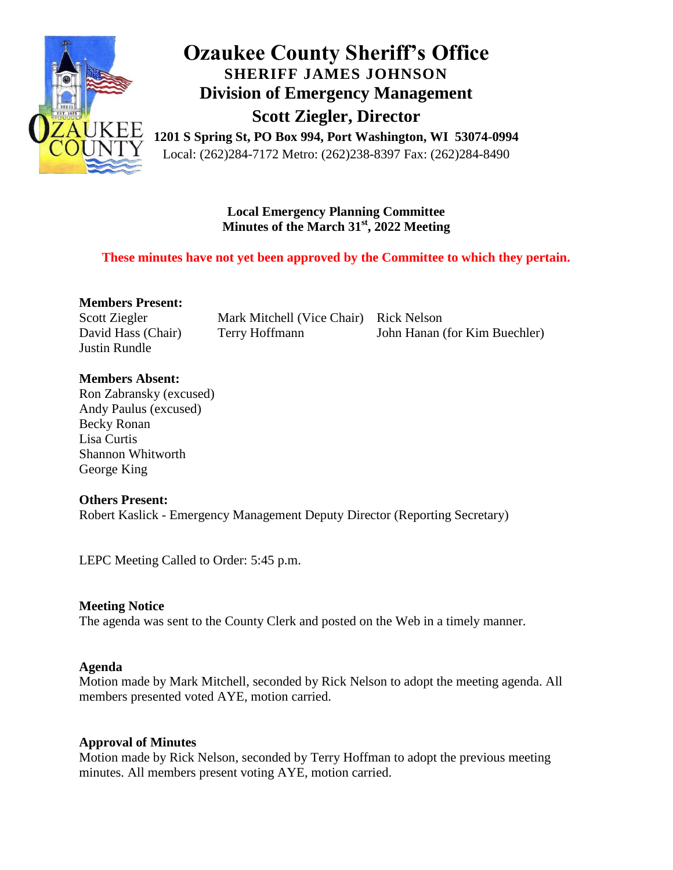

# **Ozaukee County Sheriff's Office SHERIFF JAMES JOHNSON Division of Emergency Management Scott Ziegler, Director**

**1201 S Spring St, PO Box 994, Port Washington, WI 53074-0994** Local: (262)284-7172 Metro: (262)238-8397 Fax: (262)284-8490

> **Local Emergency Planning Committee Minutes of the March 31st, 2022 Meeting**

#### **These minutes have not yet been approved by the Committee to which they pertain.**

**Members Present:**

Scott Ziegler David Hass (Chair) Justin Rundle

Mark Mitchell (Vice Chair) Rick Nelson Terry Hoffmann

John Hanan (for Kim Buechler)

#### **Members Absent:**

Ron Zabransky (excused) Andy Paulus (excused) Becky Ronan Lisa Curtis Shannon Whitworth George King

#### **Others Present:**

Robert Kaslick - Emergency Management Deputy Director (Reporting Secretary)

LEPC Meeting Called to Order: 5:45 p.m.

#### **Meeting Notice**

The agenda was sent to the County Clerk and posted on the Web in a timely manner.

#### **Agenda**

Motion made by Mark Mitchell, seconded by Rick Nelson to adopt the meeting agenda. All members presented voted AYE, motion carried.

#### **Approval of Minutes**

Motion made by Rick Nelson, seconded by Terry Hoffman to adopt the previous meeting minutes. All members present voting AYE, motion carried.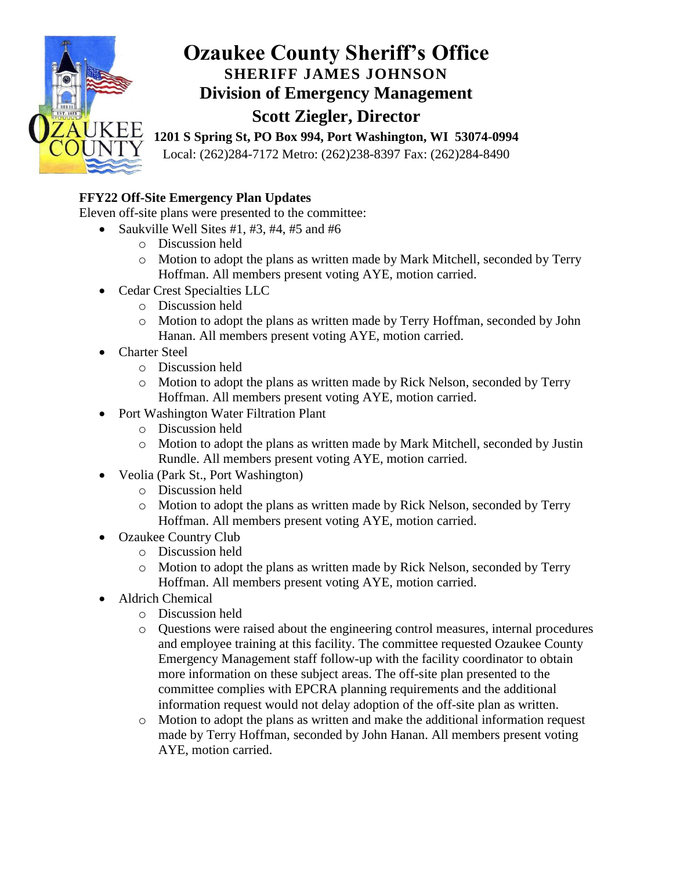

### **FFY22 Off-Site Emergency Plan Updates**

Eleven off-site plans were presented to the committee:

- Saukville Well Sites  $#1, #3, #4, #5$  and  $#6$ 
	- o Discussion held
	- o Motion to adopt the plans as written made by Mark Mitchell, seconded by Terry Hoffman. All members present voting AYE, motion carried.
- Cedar Crest Specialties LLC
	- o Discussion held
	- o Motion to adopt the plans as written made by Terry Hoffman, seconded by John Hanan. All members present voting AYE, motion carried.
- Charter Steel
	- o Discussion held
	- o Motion to adopt the plans as written made by Rick Nelson, seconded by Terry Hoffman. All members present voting AYE, motion carried.
- Port Washington Water Filtration Plant
	- o Discussion held
	- o Motion to adopt the plans as written made by Mark Mitchell, seconded by Justin Rundle. All members present voting AYE, motion carried.
- Veolia (Park St., Port Washington)
	- o Discussion held
	- o Motion to adopt the plans as written made by Rick Nelson, seconded by Terry Hoffman. All members present voting AYE, motion carried.
- Ozaukee Country Club
	- o Discussion held
	- o Motion to adopt the plans as written made by Rick Nelson, seconded by Terry Hoffman. All members present voting AYE, motion carried.
- Aldrich Chemical
	- o Discussion held
	- o Questions were raised about the engineering control measures, internal procedures and employee training at this facility. The committee requested Ozaukee County Emergency Management staff follow-up with the facility coordinator to obtain more information on these subject areas. The off-site plan presented to the committee complies with EPCRA planning requirements and the additional information request would not delay adoption of the off-site plan as written.
	- o Motion to adopt the plans as written and make the additional information request made by Terry Hoffman, seconded by John Hanan. All members present voting AYE, motion carried.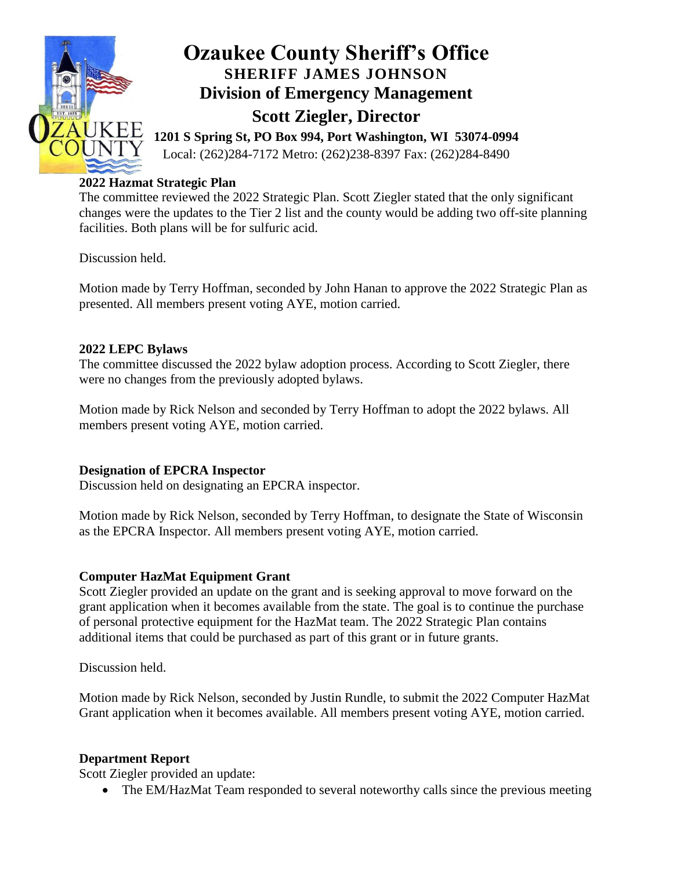

#### **2022 Hazmat Strategic Plan**

The committee reviewed the 2022 Strategic Plan. Scott Ziegler stated that the only significant changes were the updates to the Tier 2 list and the county would be adding two off-site planning facilities. Both plans will be for sulfuric acid.

Discussion held.

Motion made by Terry Hoffman, seconded by John Hanan to approve the 2022 Strategic Plan as presented. All members present voting AYE, motion carried.

#### **2022 LEPC Bylaws**

The committee discussed the 2022 bylaw adoption process. According to Scott Ziegler, there were no changes from the previously adopted bylaws.

Motion made by Rick Nelson and seconded by Terry Hoffman to adopt the 2022 bylaws. All members present voting AYE, motion carried.

#### **Designation of EPCRA Inspector**

Discussion held on designating an EPCRA inspector.

Motion made by Rick Nelson, seconded by Terry Hoffman, to designate the State of Wisconsin as the EPCRA Inspector. All members present voting AYE, motion carried.

#### **Computer HazMat Equipment Grant**

Scott Ziegler provided an update on the grant and is seeking approval to move forward on the grant application when it becomes available from the state. The goal is to continue the purchase of personal protective equipment for the HazMat team. The 2022 Strategic Plan contains additional items that could be purchased as part of this grant or in future grants.

Discussion held.

Motion made by Rick Nelson, seconded by Justin Rundle, to submit the 2022 Computer HazMat Grant application when it becomes available. All members present voting AYE, motion carried.

#### **Department Report**

Scott Ziegler provided an update:

• The EM/HazMat Team responded to several noteworthy calls since the previous meeting